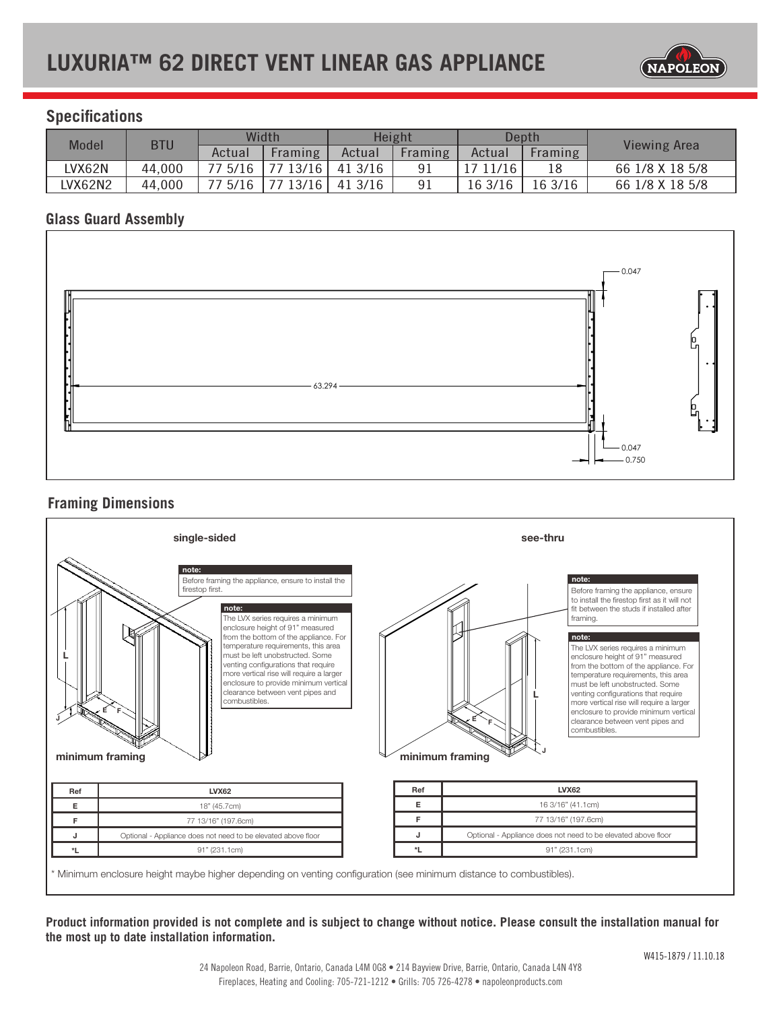

# **Specifications**

| <b>Model</b> | <b>BTU</b> | Width   |         | Height  |                | Depth    |         |                 |
|--------------|------------|---------|---------|---------|----------------|----------|---------|-----------------|
|              |            | Actual  | Framing | Actual  | <b>Framing</b> | Actual   | Framing | Viewing Area    |
| LVX62N       | 44,000     | 77 5/16 | 7713/16 | 41 3/16 | 91             | 17 11/16 | 18      | 66 1/8 X 18 5/8 |
| LVX62N2      | 44,000     | 77 5/16 | 13/16   | 41 3/16 | 91             | 16 3/16  | 16 3/16 | 66 1/8 X 18 5/8 |

# **Glass Guard Assembly**



# **Framing Dimensions**

|                 | single-sided                                                                                                                                                                                                                                                                                                                                                                                                                                                          | see-thru        |                                                                                                                                                                                                                                                                                                                                                                                                                                                                                                                                             |  |  |  |
|-----------------|-----------------------------------------------------------------------------------------------------------------------------------------------------------------------------------------------------------------------------------------------------------------------------------------------------------------------------------------------------------------------------------------------------------------------------------------------------------------------|-----------------|---------------------------------------------------------------------------------------------------------------------------------------------------------------------------------------------------------------------------------------------------------------------------------------------------------------------------------------------------------------------------------------------------------------------------------------------------------------------------------------------------------------------------------------------|--|--|--|
| minimum framing | note:<br>Before framing the appliance, ensure to install the<br>firestop first.<br>note:<br>The LVX series requires a minimum<br>enclosure height of 91" measured<br>from the bottom of the appliance. For<br>temperature requirements, this area<br>must be left unobstructed. Some<br>venting configurations that require<br>more vertical rise will require a larger<br>enclosure to provide minimum vertical<br>clearance between vent pipes and<br>combustibles. | minimum framing | note:<br>Before framing the appliance, ensure<br>to install the firestop first as it will not<br>fit between the studs if installed after<br>framing.<br>note:<br>The LVX series requires a minimum<br>enclosure height of 91" measured<br>from the bottom of the appliance. For<br>temperature requirements, this area<br>must be left unobstructed. Some<br>venting configurations that require<br>more vertical rise will require a larger<br>enclosure to provide minimum vertical<br>clearance between vent pipes and<br>combustibles. |  |  |  |
| Ref             | <b>LVX62</b>                                                                                                                                                                                                                                                                                                                                                                                                                                                          | Ref             | <b>LVX62</b>                                                                                                                                                                                                                                                                                                                                                                                                                                                                                                                                |  |  |  |
| E               | 18" (45.7cm)                                                                                                                                                                                                                                                                                                                                                                                                                                                          | E               | 16 3/16" (41.1cm)                                                                                                                                                                                                                                                                                                                                                                                                                                                                                                                           |  |  |  |
|                 | 77 13/16" (197.6cm)                                                                                                                                                                                                                                                                                                                                                                                                                                                   | F               | 77 13/16" (197.6cm)                                                                                                                                                                                                                                                                                                                                                                                                                                                                                                                         |  |  |  |
| F               |                                                                                                                                                                                                                                                                                                                                                                                                                                                                       |                 |                                                                                                                                                                                                                                                                                                                                                                                                                                                                                                                                             |  |  |  |
| J               | Optional - Appliance does not need to be elevated above floor                                                                                                                                                                                                                                                                                                                                                                                                         | J               | Optional - Appliance does not need to be elevated above floor                                                                                                                                                                                                                                                                                                                                                                                                                                                                               |  |  |  |

**Product information provided is not complete and is subject to change without notice. Please consult the installation manual for the most up to date installation information.**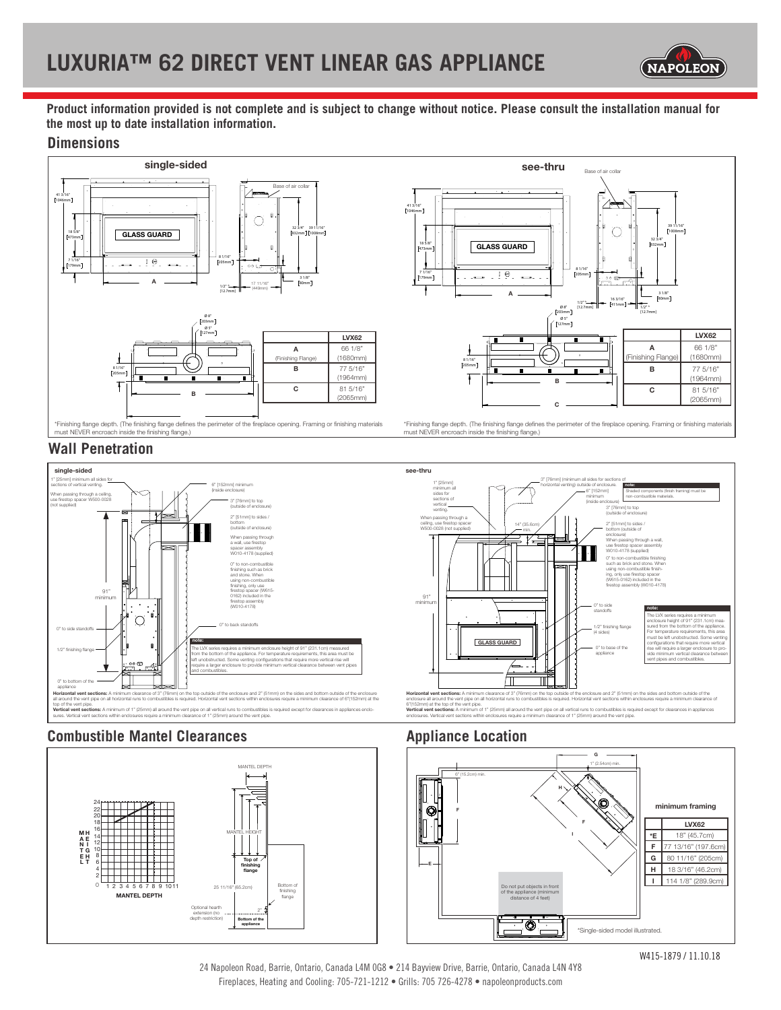

**Product information provided is not complete and is subject to change without notice. Please consult the installation manual for the most up to date installation information.**

#### **Dimensions**





**Wall Penetration**





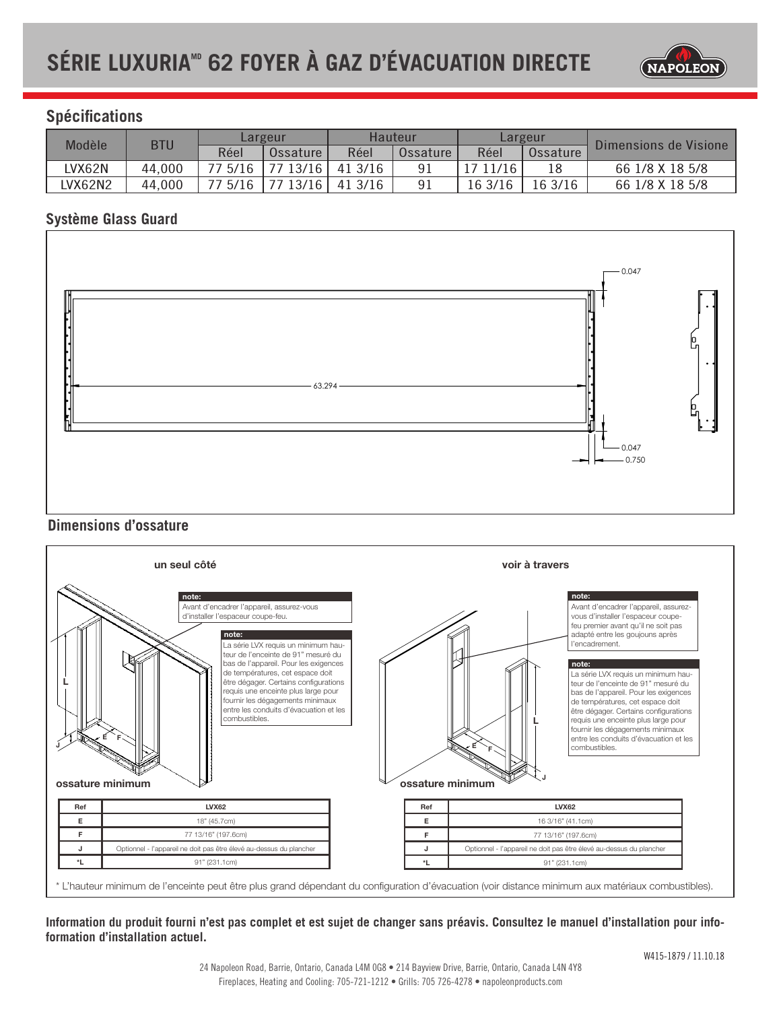

# **Spécifications**

| Modèle  | <b>BTU</b> | Largeur |          | Hauteur |          | Largeur  |          |                       |
|---------|------------|---------|----------|---------|----------|----------|----------|-----------------------|
|         |            | Réel    | Ossature | Réel    | Ossature | Réel     | Ossature | Dimensions de Visione |
| LVX62N  | 44,000     | 77 5/16 | 77 13/16 | 41 3/16 | 91       | 17 11/16 | 18       | 66 1/8 X 18 5/8       |
| LVX62N2 | 44,000     | 77 5/16 | 77 13/16 | 41 3/16 | 91       | 16 3/16  | 16 3/16  | 66 1/8 X 18 5/8       |

### **Système Glass Guard**



# **Dimensions d'ossature**



#### **Information du produit fourni n'est pas complet et est sujet de changer sans préavis. Consultez le manuel d'installation pour infoformation d'installation actuel.**